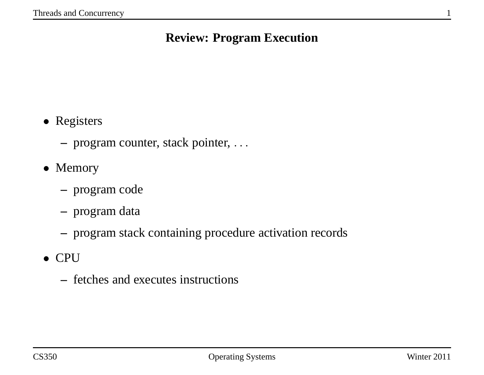### **Review: Program Execution**

- Registers
	- **–** program counter, stack pointer, . . .
- Memory
	- **–** program code
	- **–** program data
	- **–** program stack containing procedure activation records
- CPU
	- **–** fetches and executes instructions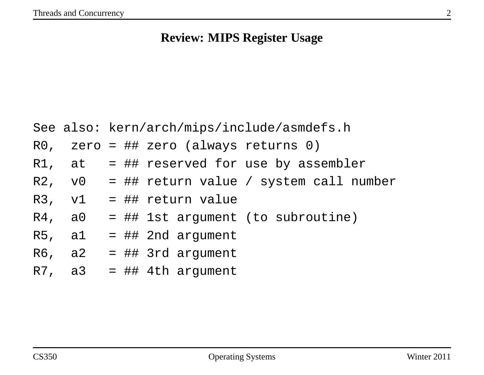# **Review: MIPS Register Usage**

|        | See also: kern/arch/mips/include/asmdefs.h      |
|--------|-------------------------------------------------|
|        | RO, zero = ## zero (always returns $0$ )        |
|        | R1, at $=$ ## reserved for use by assembler     |
|        | R2, $v0 = ## return value / system call number$ |
| R3, v1 | = ## return value                               |
| R4, a0 | = ## 1st argument (to subroutine)               |
| R5, a1 | $=$ ## 2nd argument                             |
|        | $R6$ , a2 = ## 3rd argument                     |
|        | $R7$ , a3 = ## 4th argument                     |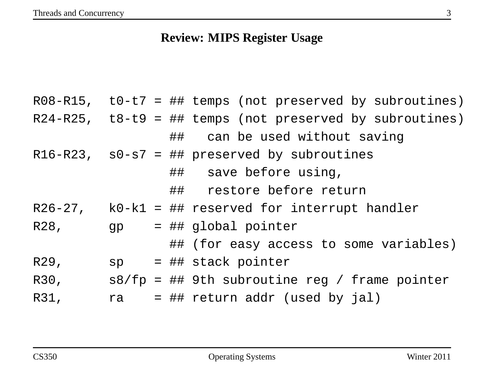# **Review: MIPS Register Usage**

|      |    |  | $R08 - R15$ , t0-t7 = ## temps (not preserved by subroutines) |
|------|----|--|---------------------------------------------------------------|
|      |    |  | $R24-R25$ , $t8-t9 = ##$ temps (not preserved by subroutines) |
|      |    |  | ## can be used without saving                                 |
|      |    |  | $R16-R23$ , $s0-s7 = ##$ preserved by subroutines             |
|      |    |  | ## save before using,                                         |
|      |    |  | ## restore before return                                      |
|      |    |  | $R26-27$ , $R0-k1 = ## reserved for interrupt handler$        |
| R28, |    |  | $gp = ## global pointer$                                      |
|      |    |  | ## (for easy access to some variables)                        |
| R29, |    |  | $sp = ## stack pointer$                                       |
| R30, |    |  | $s8/fp = ## 9th subroutine reg / frame pointer$               |
| R31, | ra |  | $=$ ## return addr (used by jal)                              |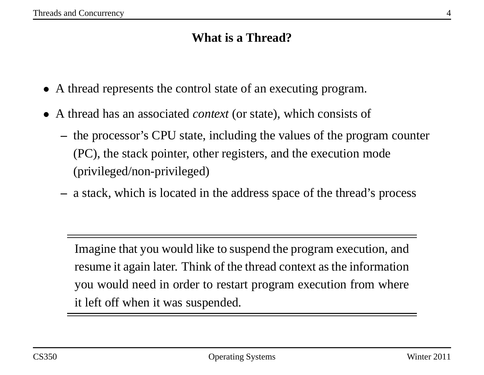# **What is <sup>a</sup> Thread?**

- A thread represents the control state of an executing program.
- A thread has an associated *context* (or state), which consists of
	- **–** the processor's CPU state, including the values of the program counter (PC), the stack pointer, other registers, and the execution mode (privileged/non-privileged)
	- **–** <sup>a</sup> stack, which is located in the address space of the thread's process

Imagine that you would like to suspend the program execution, and resume it again later. Think of the thread context as the information you would need in order to restart program execution from where it left off when it was suspended.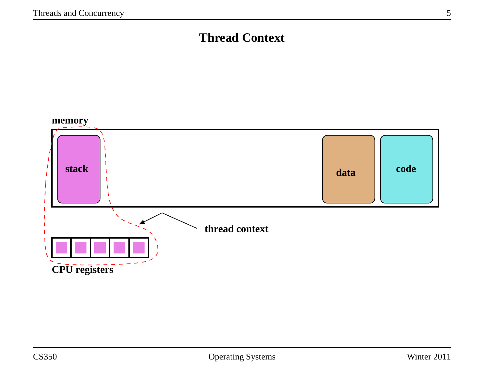# **Thread Context**

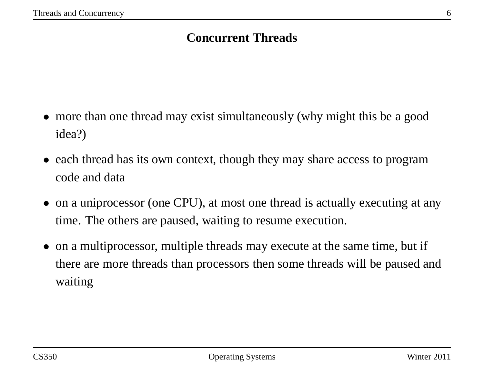## **Concurrent Threads**

- more than one thread may exist simultaneously (why might this be a good idea?)
- each thread has its own context, though they may share access to program code and data
- on <sup>a</sup> uniprocessor (one CPU), at most one thread is actually executing at any time. The others are paused, waiting to resume execution.
- on <sup>a</sup> multiprocessor, multiple threads may execute at the same time, but if there are more threads than processors then some threads will be paused and waiting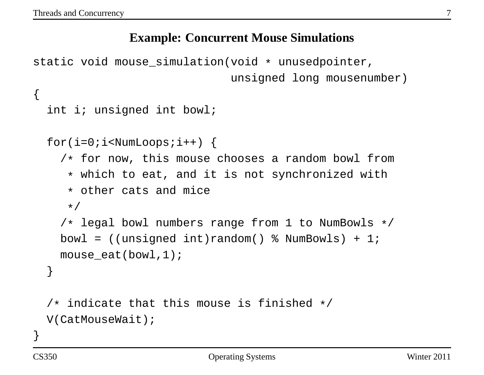{

#### **Example: Concurrent Mouse Simulations**

```
static void mouse simulation(void * unusedpointer,
                             unsigned long mousenumber)
```

```
int i; unsigned int bowl;
```

```
for(i=0;i<NumberNumber</i>) {
  /* for now, this mouse chooses a random bowl from
   * which to eat, and it is not synchronized with
   * other cats and mice
   */
  /* legal bowl numbers range from 1 to NumBowls */
 bowl = ((unsigned int) random() % NumBowls) + 1;mouse_eat(bowl,1);
}
/* indicate that this mouse is finished */
```
}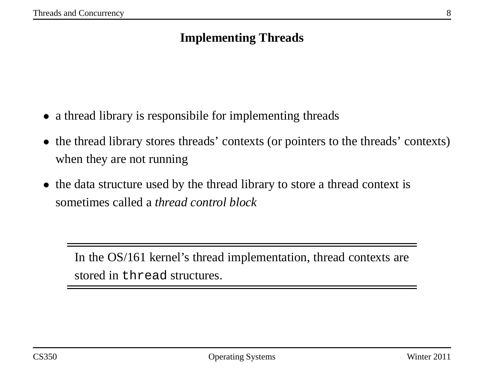# **Implementing Threads**

- a thread library is responsibile for implementing threads
- the thread library stores threads' contexts (or pointers to the threads' contexts) when they are not running
- the data structure used by the thread library to store a thread context is sometimes called <sup>a</sup> *thread control block*

In the OS/161 kernel's thread implementation, thread contexts are stored in thread structures.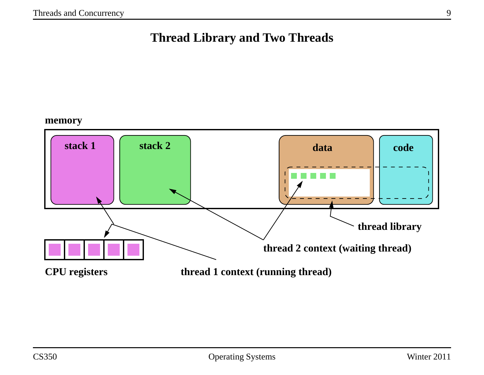## **Thread Library and Two Threads**

#### **memory**

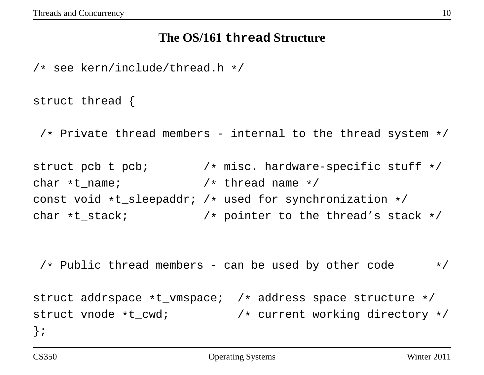#### **The OS/161 thread Structure**

/\* see kern/include/thread.h \*/

struct thread {

 $/*$  Private thread members - internal to the thread system  $*/$ 

struct pcb t\_pcb;  $\rightarrow$  /\* misc. hardware-specific stuff \*/ char  $*t$  name;  $/*$  thread name  $*/$ const void \*t\_sleepaddr; /\* used for synchronization \*/ char \*t\_stack; /\* pointer to the thread's stack \*/

 $/*$  Public thread members - can be used by other code  $*/$ struct addrspace \*t\_vmspace; /\* address space structure \*/ struct vnode \*t\_cwd; /\* current working directory \*/ };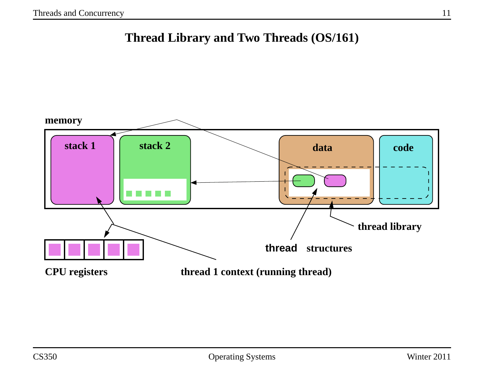**Thread Library and Two Threads (OS/161)**

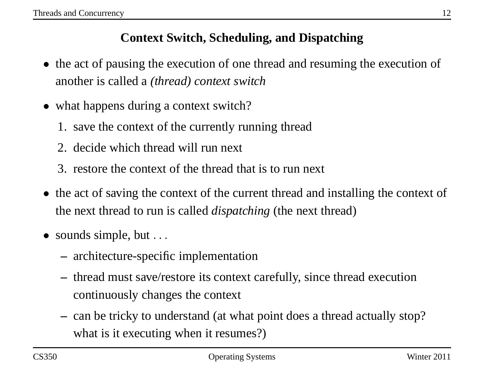# **Context Switch, Scheduling, and Dispatching**

- the act of pausing the execution of one thread and resuming the execution of another is called <sup>a</sup> *(thread) context switch*
- what happens during a context switch?
	- 1. save the context of the currently running thread
	- 2. decide which thread will run next
	- 3. restore the context of the thread that is to run next
- the act of saving the context of the current thread and installing the context of the next thread to run is called *dispatching* (the next thread)
- sounds simple, but ...
	- **–** architecture-specific implementation
	- **–** thread must save/restore its context carefully, since thread execution continuously changes the context
	- **–** can be tricky to understand (at what point does <sup>a</sup> thread actually stop? what is it executing when it resumes?)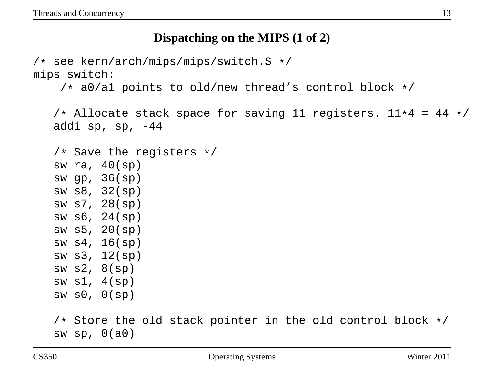#### **Dispatching on the MIPS (1 of 2)**

```
/* see kern/arch/mips/mips/switch.S */
mips_switch:
    /* a0/a1 points to old/new thread's control block */
   /* Allocate stack space for saving 11 registers. 11*4 = 44 */
   addi sp, sp, -44/* Save the registers */sw ra, 40(sp)
   sw gp, 36(sp)
   sw s8, 32(sp)
   sw s7, 28(sp)
   sw s6, 24(sp)
   sw s5, 20(sp)
   sw s4, 16(sp)
   sw s3, 12(sp)
   sw s2, 8(sp)
   sw sl, 4(sp)sw s0, 0(sp)
   /* Store the old stack pointer in the old control block */
   sw sp, 0(a0)
```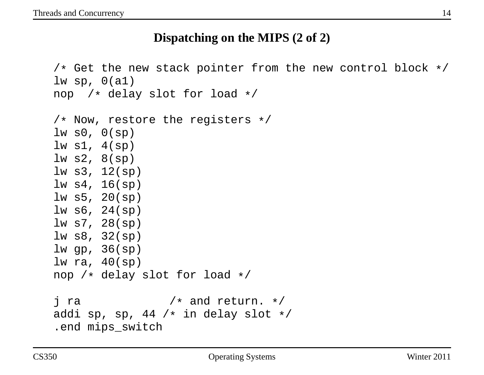#### **Dispatching on the MIPS (2 of 2)**

/\* Get the new stack pointer from the new control block \*/ lw sp,  $0(a1)$ nop /\* delay slot for load \*/

```
/* Now, restore the registers */
lw s0, 0(sp)lw sl, 4(sp)lw s2, 8(sp)
lw s3, 12(sp)
lw s4, 16(sp)
lw s5, 20(sp)
lw s6, 24(sp)
lw s7, 28(sp)
lw s8, 32(sp)
lw gp, 36(sp)
lw ra, 40(sp)
nop /* delay slot for load */
\frac{1}{x} ra \frac{1}{x} /* and return. */
addi sp, sp, 44 /* in delay slot */.end mips_switch
```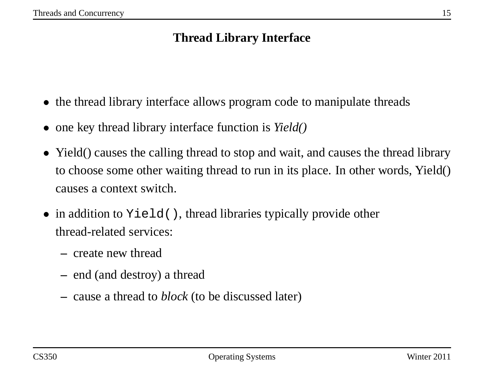## **Thread Library Interface**

- the thread library interface allows program code to manipulate threads
- one key thread library interface function is *Yield()*
- Yield() causes the calling thread to stop and wait, and causes the thread library to choose some other waiting thread to run in its place. In other words, Yield() causes <sup>a</sup> context switch.
- in addition to Yield(), thread libraries typically provide other thread-related services:
	- **–** create new thread
	- **–** end (and destroy) <sup>a</sup> thread
	- **–** cause <sup>a</sup> thread to *block* (to be discussed later)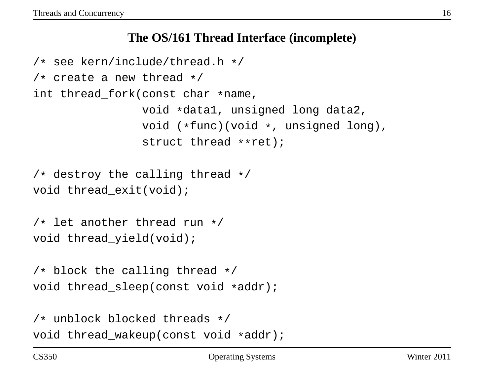#### **The OS/161 Thread Interface (incomplete)**

```
/* see kern/include/thread.h */
/* create a new thread */
int thread_fork(const char *name,
                void *data1, unsigned long data2,
                void (*func)(void *, unsigned long),
                struct thread **ret);
```

```
/* destroy the calling thread */
void thread exit(void);
```

```
/* let another thread run */
void thread_yield(void);
```

```
/* block the calling thread */
void thread sleep(const void *addr);
```

```
/* unblock blocked threads */
void thread wakeup(const void *addr);
```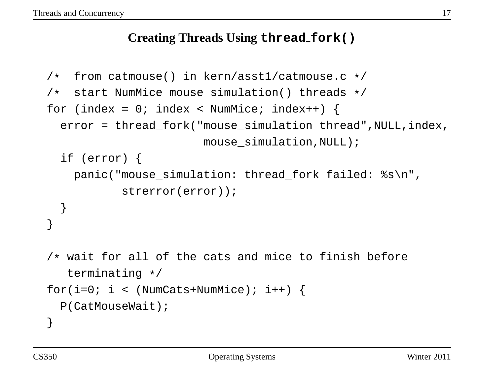## **Creating Threads Using thread fork()**

```
/* from catmouse() in kern/asst1/catmouse.c */
/* start NumMice mouse_simulation() threads */
for (index = 0; index < NumMice; index++) {
 error = thread_fork("mouse_simulation thread",NULL,index,
                       mouse simulation, NULL);
 if (error) {
   panic("mouse_simulation: thread_fork failed: %s\n",
           strerror(error));
  }
}
/* wait for all of the cats and mice to finish before
   terminating */
for(i=0; i < (NumCats+NumMice); i++)P(CatMouseWait);
}
```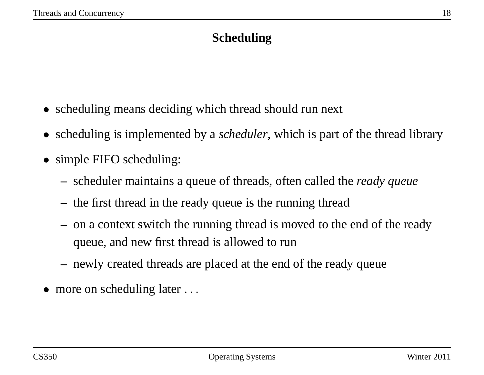# **Scheduling**

- scheduling means deciding which thread should run next
- scheduling is implemented by <sup>a</sup> *scheduler*, which is par<sup>t</sup> of the thread library
- simple FIFO scheduling:
	- **–** scheduler maintains <sup>a</sup> queue of threads, often called the *ready queue*
	- **–** the first thread in the ready queue is the running thread
	- **–** on <sup>a</sup> context switch the running thread is moved to the end of the ready queue, and new first thread is allowed to run
	- **–** newly created threads are placed at the end of the ready queue
- more on scheduling later ...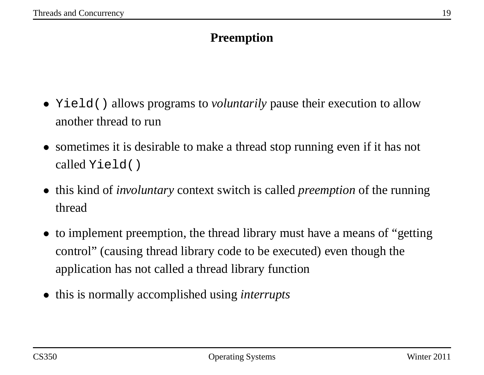# **Preemption**

- Yield() allows programs to *voluntarily* pause their execution to allow another thread to run
- sometimes it is desirable to make a thread stop running even if it has not called Yield()
- this kind of *involuntary* context switch is called *preemption* of the running thread
- to implement preemption, the thread library must have a means of "getting" control" (causing thread library code to be executed) even though the application has not called <sup>a</sup> thread library function
- this is normally accomplished using *interrupts*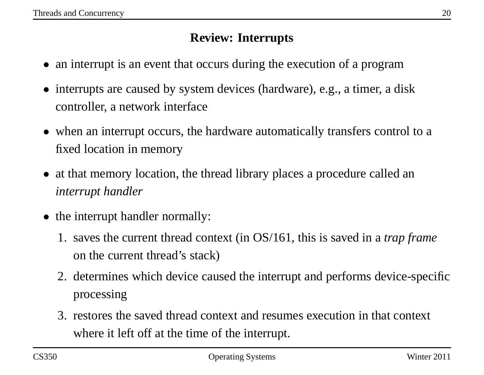## **Review: Interrupts**

- an interrupt is an event that occurs during the execution of a program
- interrupts are caused by system devices (hardware), e.g., a timer, a disk controller, <sup>a</sup> network interface
- when an interrupt occurs, the hardware automatically transfers control to a fixed location in memory
- at that memory location, the thread library places a procedure called an *interrupt handler*
- the interrupt handler normally:
	- 1. saves the current thread context (in OS/161, this is saved in <sup>a</sup> *trap frame* on the current thread's stack)
	- 2. determines which device caused the interrupt and performs device-specific processing
	- 3. restores the saved thread context and resumes execution in that context where it left off at the time of the interrupt.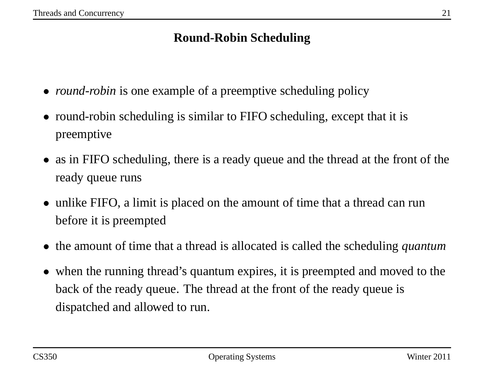# **Round-Robin Scheduling**

- *round-robin* is one example of a preemptive scheduling policy
- round-robin scheduling is similar to FIFO scheduling, except that it is preemptive
- as in FIFO scheduling, there is a ready queue and the thread at the front of the ready queue runs
- unlike FIFO, a limit is placed on the amount of time that a thread can run before it is preempted
- the amount of time that <sup>a</sup> thread is allocated is called the scheduling *quantum*
- when the running thread's quantum expires, it is preempted and moved to the back of the ready queue. The thread at the front of the ready queue is dispatched and allowed to run.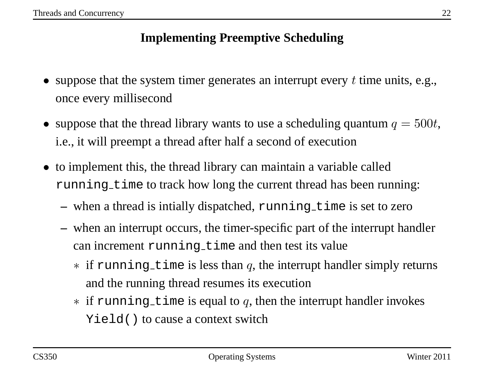# **Implementing Preemptive Scheduling**

- suppose that the system timer generates an interrupt every  $t$  time units, e.g., once every millisecond
- suppose that the thread library wants to use a scheduling quantum  $q = 500t$ , i.e., it will preemp<sup>t</sup> <sup>a</sup> thread after half <sup>a</sup> second of execution
- to implement this, the thread library can maintain <sup>a</sup> variable called running time to track how long the current thread has been running:
	- **–** when <sup>a</sup> thread is intially dispatched, running time is set to zero
	- **–** when an interrupt occurs, the timer-specific par<sup>t</sup> of the interrupt handler can increment running time and then test its value
		- $*$  if running time is less than q, the interrupt handler simply returns and the running thread resumes its execution
		- $\ast$  if running time is equal to q, then the interrupt handler invokes Yield() to cause <sup>a</sup> context switch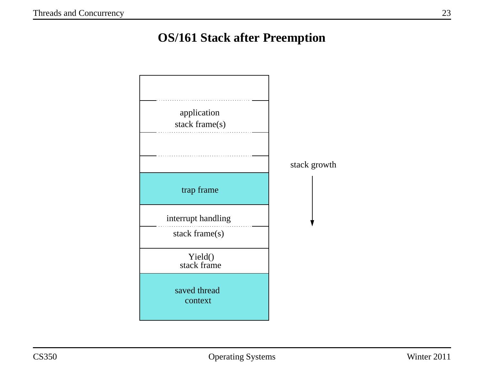# **OS/161 Stack after Preemption**

| application<br>stack frame(s)        | stack growth |
|--------------------------------------|--------------|
| trap frame                           |              |
| interrupt handling<br>stack frame(s) |              |
| Yield()<br>stack frame               |              |
| saved thread<br>context              |              |